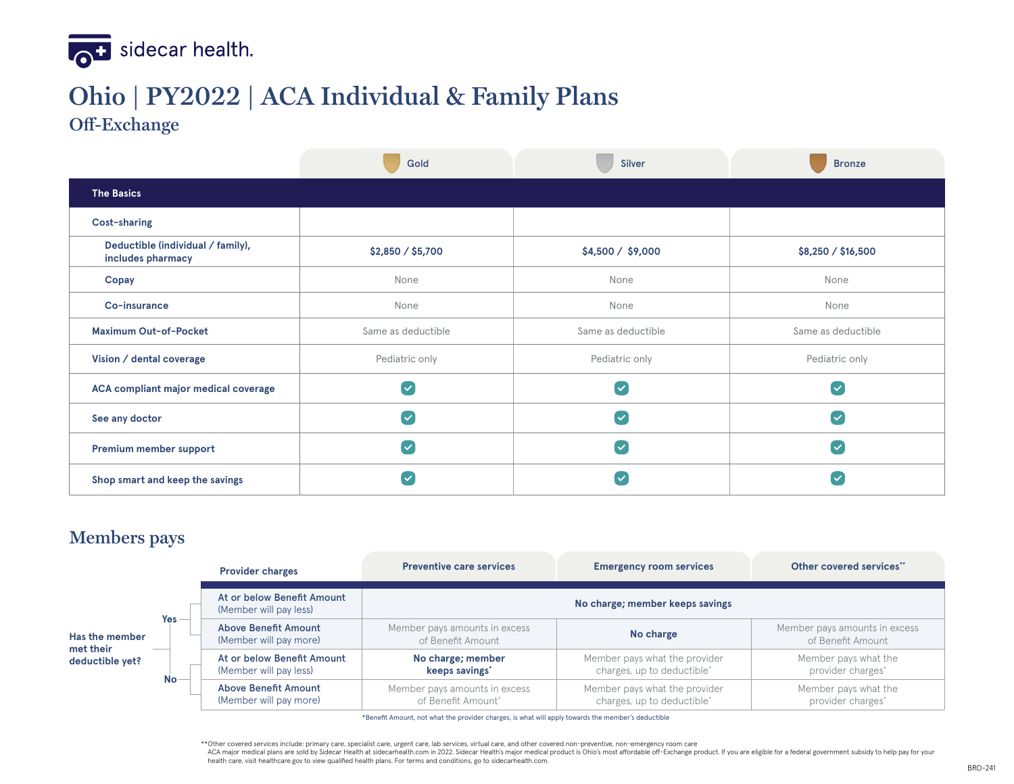

# **Ohio | PY2022 | ACA Individual & Family Plans**

**Off-Exchange**

|                                                        | Gold<br><b>Silver</b>   |                    | <b>Bronze</b>           |  |  |
|--------------------------------------------------------|-------------------------|--------------------|-------------------------|--|--|
| <b>The Basics</b>                                      |                         |                    |                         |  |  |
| Cost-sharing                                           |                         |                    |                         |  |  |
| Deductible (individual / family),<br>includes pharmacy | \$2,850 / \$5,700       | \$4,500 / \$9,000  | \$8,250 / \$16,500      |  |  |
| Copay                                                  | None                    | None               | None                    |  |  |
| Co-insurance                                           | None                    | None               | None                    |  |  |
| <b>Maximum Out-of-Pocket</b>                           | Same as deductible      | Same as deductible | Same as deductible      |  |  |
| Vision / dental coverage                               | Pediatric only          | Pediatric only     | Pediatric only          |  |  |
| <b>ACA compliant major medical coverage</b>            | l v                     | $\checkmark$       | $\blacktriangledown$    |  |  |
| See any doctor                                         | $\overline{\mathsf{v}}$ | $\checkmark$       | $\overline{\mathsf{v}}$ |  |  |
| Premium member support                                 | l V                     | $\checkmark$       | $\overline{\mathsf{v}}$ |  |  |
| Shop smart and keep the savings                        |                         | $\checkmark$       | $\checkmark$            |  |  |

#### **Members pays**

|                                                |           | <b>Provider charges</b>                               | <b>Preventive care services</b>                     | <b>Emergency room services</b>                                          | Other covered services"                            |  |
|------------------------------------------------|-----------|-------------------------------------------------------|-----------------------------------------------------|-------------------------------------------------------------------------|----------------------------------------------------|--|
| Has the member<br>met their<br>deductible yet? |           | At or below Benefit Amount<br>(Member will pay less)  | No charge; member keeps savings                     |                                                                         |                                                    |  |
|                                                | $Yes -$   | Above Benefit Amount<br>(Member will pay more)        | Member pays amounts in excess<br>of Benefit Amount  | No charge                                                               | Member pays amounts in excess<br>of Benefit Amount |  |
|                                                | <b>No</b> | At or below Benefit Amount<br>(Member will pay less)  | No charge; member<br>keeps savings'                 | Member pays what the provider<br>charges, up to deductible <sup>*</sup> | Member pays what the<br>provider charges*          |  |
|                                                |           | <b>Above Benefit Amount</b><br>(Member will pay more) | Member pays amounts in excess<br>of Benefit Amount* | Member pays what the provider<br>charges, up to deductible*             | Member pays what the<br>provider charges*          |  |

\*Benefit Amount, not what the provider charges, is what will apply towards the member's deductible

\*\* Other covered services include: primary care, specialist care, urgent care, lab services, virtual care, and other covered non-preventive, non-emergency room care

ACA major medical plans are sold by Sidecar Health at sidecarhealth.com in 2022. Sidecar Health's major medical product is Ohio's most affordable off-Exchange product. If you are eligible for a federal government subsidy t health care, visit healthcare.gov to view qualified health plans. For terms and conditions, go to sidecarhealth.com.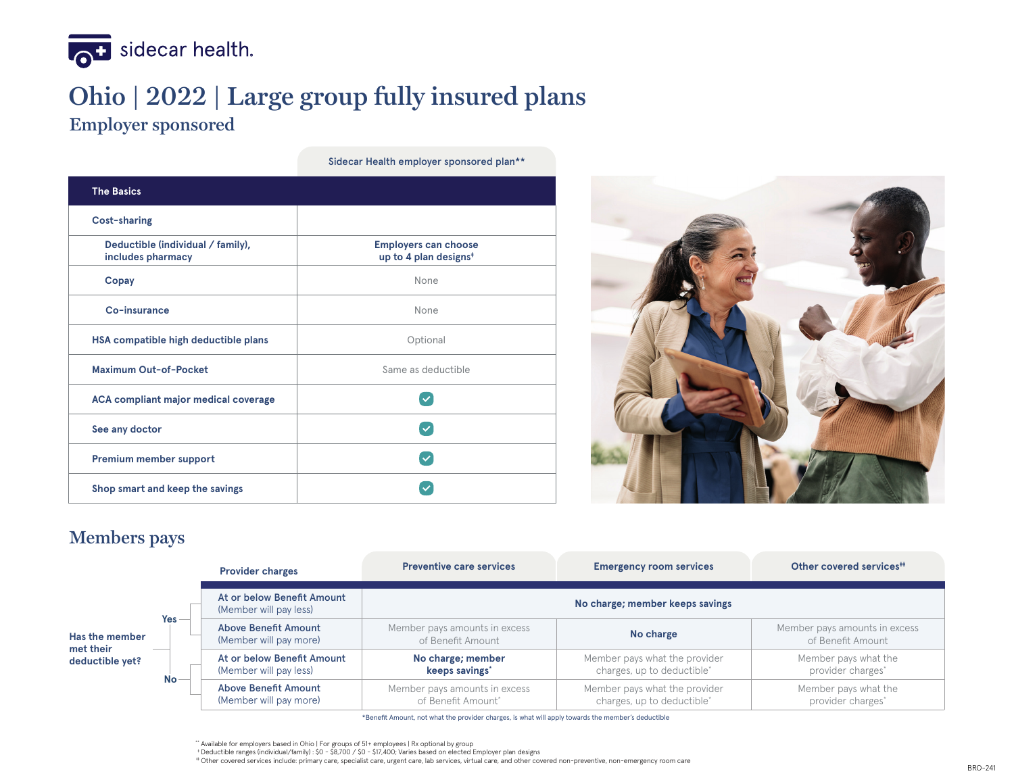

### **Ohio | 2022 | Large group fully insured plans Employer sponsored**

| <b>The Basics</b>                                      |                                                                  |
|--------------------------------------------------------|------------------------------------------------------------------|
| <b>Cost-sharing</b>                                    |                                                                  |
| Deductible (individual / family),<br>includes pharmacy | <b>Employers can choose</b><br>up to 4 plan designs <sup>*</sup> |
| Copay                                                  | None                                                             |
| Co-insurance                                           | None                                                             |
| HSA compatible high deductible plans                   | Optional                                                         |
| <b>Maximum Out-of-Pocket</b>                           | Same as deductible                                               |
| <b>ACA compliant major medical coverage</b>            |                                                                  |
| See any doctor                                         |                                                                  |
| Premium member support                                 |                                                                  |
| Shop smart and keep the savings                        |                                                                  |
|                                                        |                                                                  |

Sidecar Health employer sponsored plan\*\*



#### **Members pays**

|                                                |           | <b>Provider charges</b>                               | <b>Preventive care services</b>                     | <b>Emergency room services</b>                              | Other covered services <sup>#</sup>                |
|------------------------------------------------|-----------|-------------------------------------------------------|-----------------------------------------------------|-------------------------------------------------------------|----------------------------------------------------|
| Has the member<br>met their<br>deductible yet? |           | At or below Benefit Amount<br>(Member will pay less)  | No charge; member keeps savings                     |                                                             |                                                    |
|                                                | Yes       | <b>Above Benefit Amount</b><br>(Member will pay more) | Member pays amounts in excess<br>of Benefit Amount  | No charge                                                   | Member pays amounts in excess<br>of Benefit Amount |
|                                                | <b>No</b> | At or below Benefit Amount<br>(Member will pay less)  | No charge; member<br>keeps savings'                 | Member pays what the provider<br>charges, up to deductible* | Member pays what the<br>provider charges*          |
|                                                |           | <b>Above Benefit Amount</b><br>(Member will pay more) | Member pays amounts in excess<br>of Benefit Amount* | Member pays what the provider<br>charges, up to deductible* | Member pays what the<br>provider charges*          |

\*Benefit Amount, not what the provider charges, is what will apply towards the member's deductible

# Other covered services include: primary care, specialist care, urgent care, lab services, virtual care, and other covered non-preventive, non-emergency room care

<sup>\*\*</sup> Available for employers based in Ohio | For groups of 51+ employees | Rx optional by group

<sup>†</sup> Deductible ranges (individual/family) : \$0 - \$8,700 / \$0 - \$17,400; Varies based on elected Employer plan designs